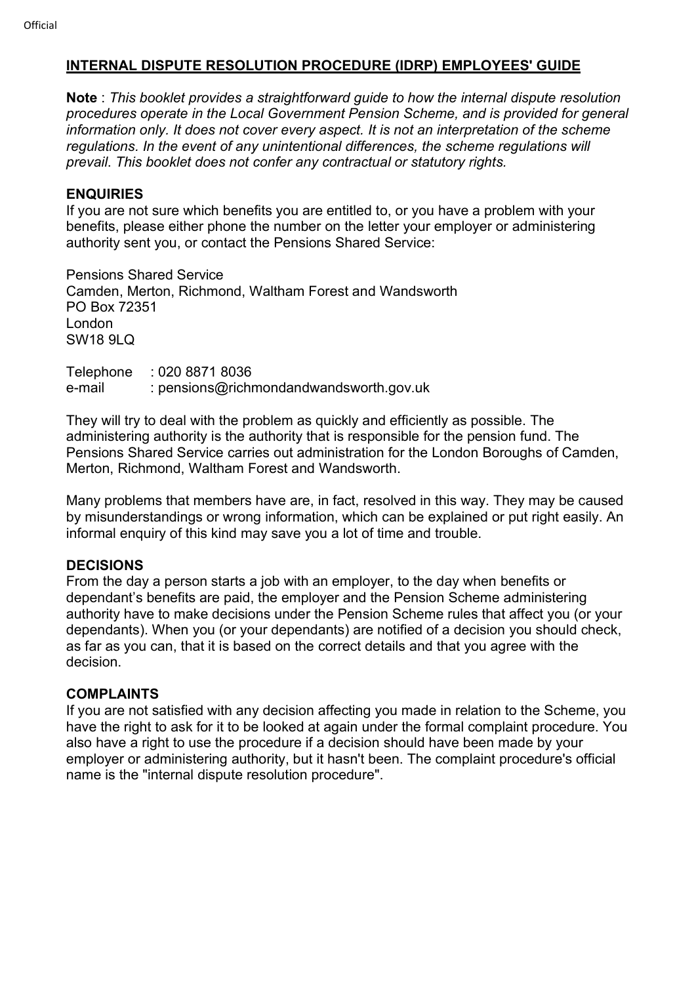## INTERNAL DISPUTE RESOLUTION PROCEDURE (IDRP) EMPLOYEES' GUIDE

Note : This booklet provides a straightforward quide to how the internal dispute resolution procedures operate in the Local Government Pension Scheme, and is provided for general information only. It does not cover every aspect. It is not an interpretation of the scheme regulations. In the event of any unintentional differences, the scheme regulations will prevail. This booklet does not confer any contractual or statutory rights.

## **ENQUIRIES**

If you are not sure which benefits you are entitled to, or you have a problem with your benefits, please either phone the number on the letter your employer or administering authority sent you, or contact the Pensions Shared Service:

Pensions Shared Service Camden, Merton, Richmond, Waltham Forest and Wandsworth PO Box 72351 London SW18 9LQ

Telephone : 020 8871 8036 e-mail : pensions@richmondandwandsworth.gov.uk

They will try to deal with the problem as quickly and efficiently as possible. The administering authority is the authority that is responsible for the pension fund. The Pensions Shared Service carries out administration for the London Boroughs of Camden, Merton, Richmond, Waltham Forest and Wandsworth.

Many problems that members have are, in fact, resolved in this way. They may be caused by misunderstandings or wrong information, which can be explained or put right easily. An informal enquiry of this kind may save you a lot of time and trouble.

## DECISIONS

From the day a person starts a job with an employer, to the day when benefits or dependant's benefits are paid, the employer and the Pension Scheme administering authority have to make decisions under the Pension Scheme rules that affect you (or your dependants). When you (or your dependants) are notified of a decision you should check, as far as you can, that it is based on the correct details and that you agree with the decision.

## COMPLAINTS

If you are not satisfied with any decision affecting you made in relation to the Scheme, you have the right to ask for it to be looked at again under the formal complaint procedure. You also have a right to use the procedure if a decision should have been made by your employer or administering authority, but it hasn't been. The complaint procedure's official name is the "internal dispute resolution procedure".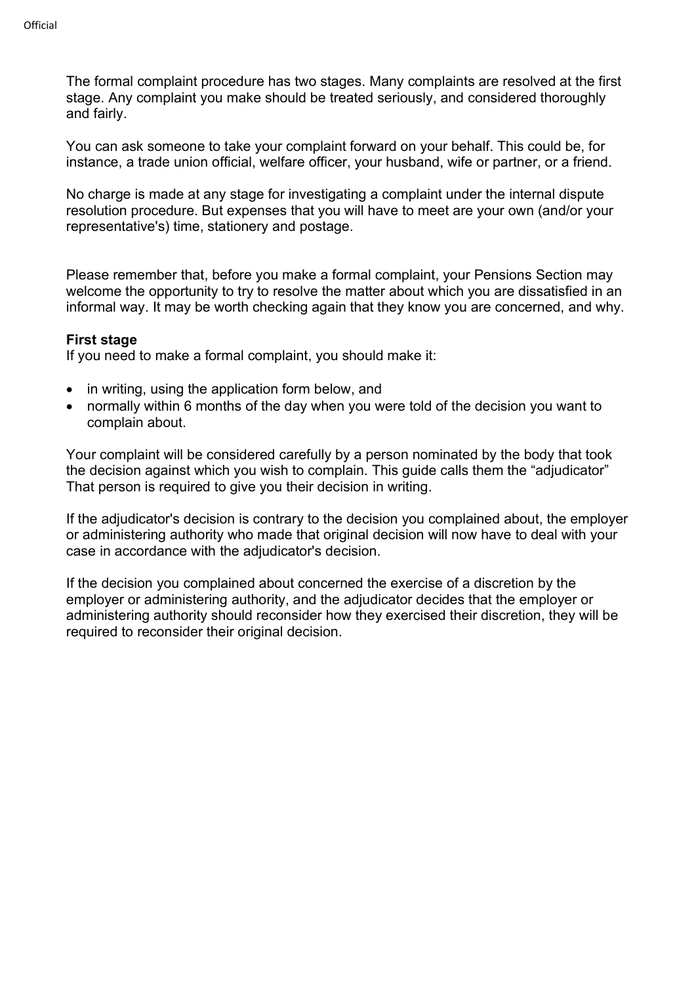The formal complaint procedure has two stages. Many complaints are resolved at the first stage. Any complaint you make should be treated seriously, and considered thoroughly and fairly.

You can ask someone to take your complaint forward on your behalf. This could be, for instance, a trade union official, welfare officer, your husband, wife or partner, or a friend.

No charge is made at any stage for investigating a complaint under the internal dispute resolution procedure. But expenses that you will have to meet are your own (and/or your representative's) time, stationery and postage.

Please remember that, before you make a formal complaint, your Pensions Section may welcome the opportunity to try to resolve the matter about which you are dissatisfied in an informal way. It may be worth checking again that they know you are concerned, and why.

#### First stage

If you need to make a formal complaint, you should make it:

- in writing, using the application form below, and
- normally within 6 months of the day when you were told of the decision you want to complain about.

Your complaint will be considered carefully by a person nominated by the body that took the decision against which you wish to complain. This guide calls them the "adjudicator" That person is required to give you their decision in writing.

If the adjudicator's decision is contrary to the decision you complained about, the employer or administering authority who made that original decision will now have to deal with your case in accordance with the adjudicator's decision.

If the decision you complained about concerned the exercise of a discretion by the employer or administering authority, and the adjudicator decides that the employer or administering authority should reconsider how they exercised their discretion, they will be required to reconsider their original decision.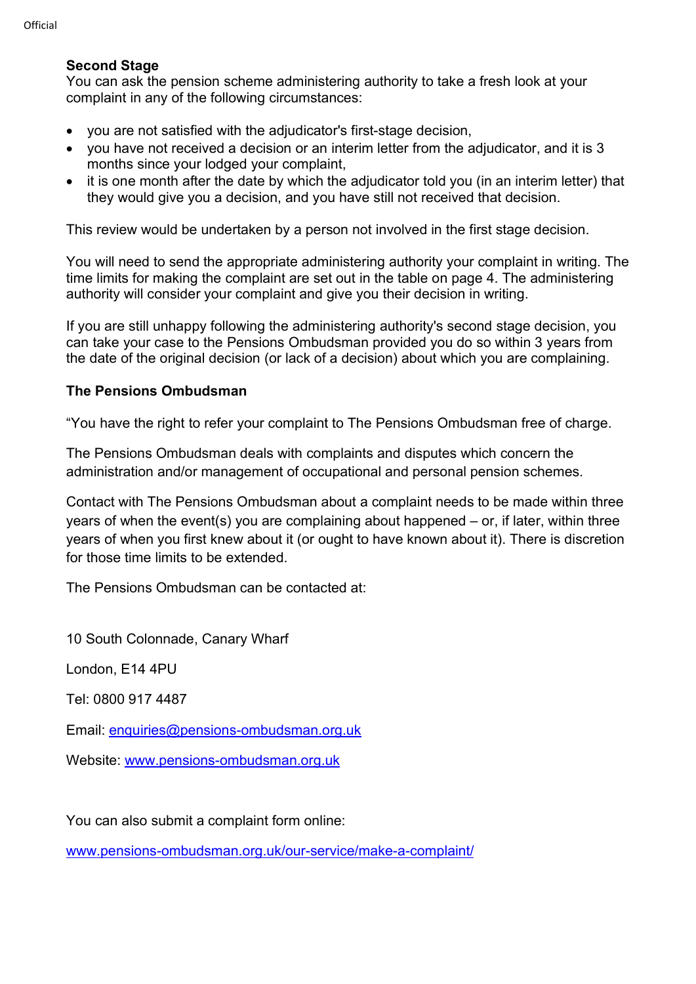## Second Stage

You can ask the pension scheme administering authority to take a fresh look at your complaint in any of the following circumstances:

- you are not satisfied with the adjudicator's first-stage decision,
- vou have not received a decision or an interim letter from the adiudicator, and it is 3 months since your lodged your complaint,
- it is one month after the date by which the adjudicator told you (in an interim letter) that they would give you a decision, and you have still not received that decision.

This review would be undertaken by a person not involved in the first stage decision.

You will need to send the appropriate administering authority your complaint in writing. The time limits for making the complaint are set out in the table on page 4. The administering authority will consider your complaint and give you their decision in writing.

If you are still unhappy following the administering authority's second stage decision, you can take your case to the Pensions Ombudsman provided you do so within 3 years from the date of the original decision (or lack of a decision) about which you are complaining.

#### The Pensions Ombudsman

"You have the right to refer your complaint to The Pensions Ombudsman free of charge.

The Pensions Ombudsman deals with complaints and disputes which concern the administration and/or management of occupational and personal pension schemes.

Contact with The Pensions Ombudsman about a complaint needs to be made within three years of when the event(s) you are complaining about happened – or, if later, within three years of when you first knew about it (or ought to have known about it). There is discretion for those time limits to be extended.

The Pensions Ombudsman can be contacted at:

10 South Colonnade, Canary Wharf

London, E14 4PU

Tel: 0800 917 4487

Email: enquiries@pensions-ombudsman.org.uk

Website: www.pensions-ombudsman.org.uk

You can also submit a complaint form online:

www.pensions-ombudsman.org.uk/our-service/make-a-complaint/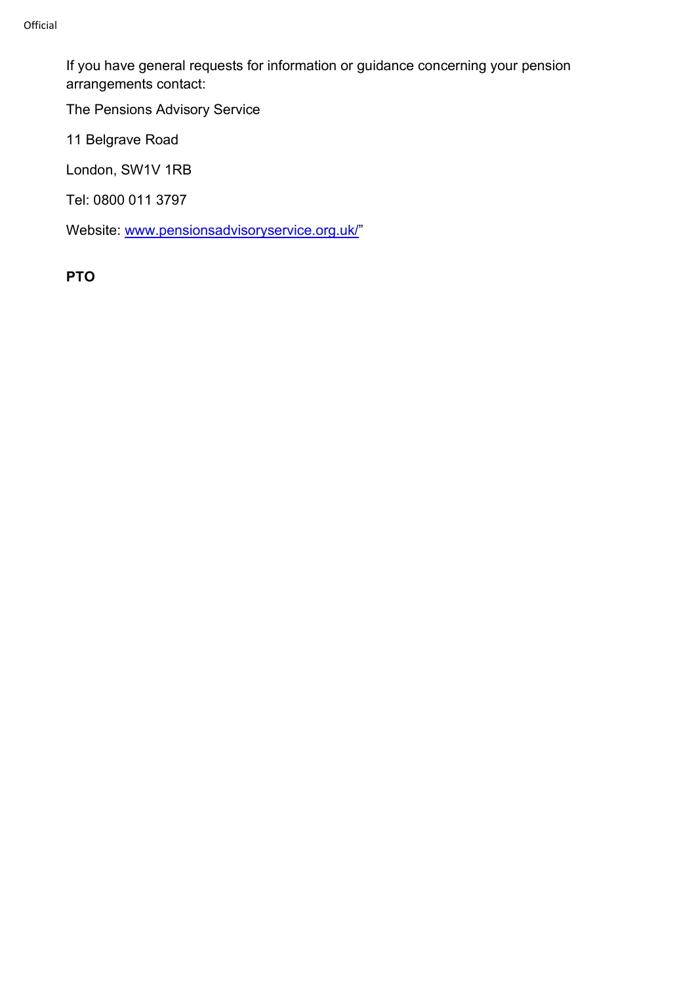If you have general requests for information or guidance concerning your pension arrangements contact:

The Pensions Advisory Service

11 Belgrave Road

London, SW1V 1RB

Tel: 0800 011 3797

Website: www.pensionsadvisoryservice.org.uk/"

PTO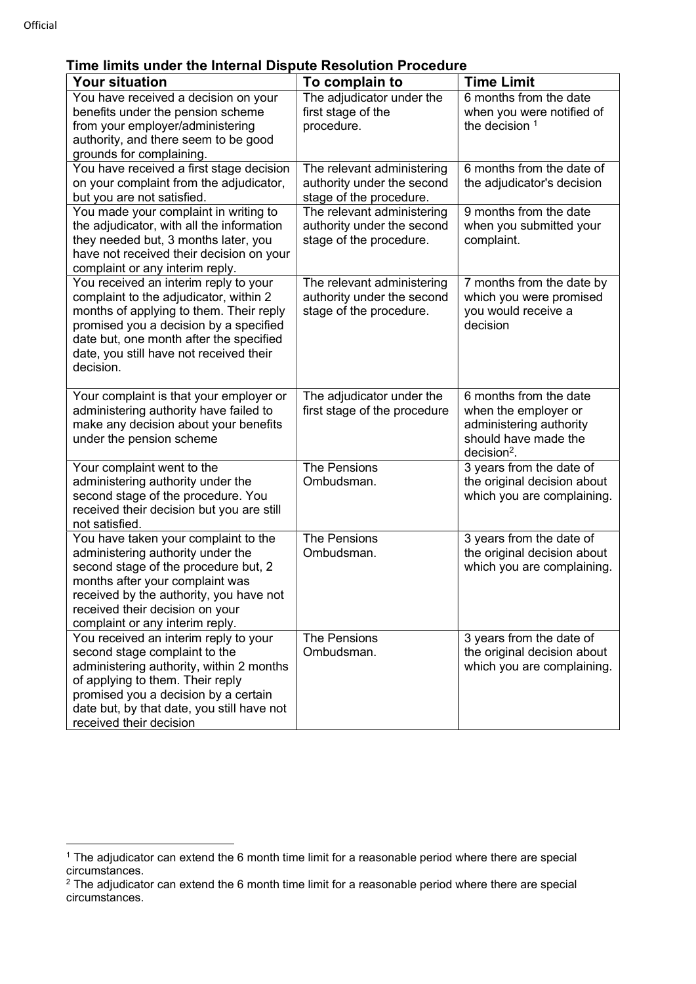## Time limits under the Internal Dispute Resolution Procedure

| <b>Your situation</b>                                                                                                                                                                                                                                                   | To complain to                                                                      | <b>Time Limit</b>                                                                                                  |
|-------------------------------------------------------------------------------------------------------------------------------------------------------------------------------------------------------------------------------------------------------------------------|-------------------------------------------------------------------------------------|--------------------------------------------------------------------------------------------------------------------|
| You have received a decision on your<br>benefits under the pension scheme<br>from your employer/administering<br>authority, and there seem to be good<br>grounds for complaining.                                                                                       | The adjudicator under the<br>first stage of the<br>procedure.                       | 6 months from the date<br>when you were notified of<br>the decision $1$                                            |
| You have received a first stage decision<br>on your complaint from the adjudicator,<br>but you are not satisfied.                                                                                                                                                       | The relevant administering<br>authority under the second<br>stage of the procedure. | 6 months from the date of<br>the adjudicator's decision                                                            |
| You made your complaint in writing to<br>the adjudicator, with all the information<br>they needed but, 3 months later, you<br>have not received their decision on your<br>complaint or any interim reply.                                                               | The relevant administering<br>authority under the second<br>stage of the procedure. | 9 months from the date<br>when you submitted your<br>complaint.                                                    |
| You received an interim reply to your<br>complaint to the adjudicator, within 2<br>months of applying to them. Their reply<br>promised you a decision by a specified<br>date but, one month after the specified<br>date, you still have not received their<br>decision. | The relevant administering<br>authority under the second<br>stage of the procedure. | 7 months from the date by<br>which you were promised<br>you would receive a<br>decision                            |
| Your complaint is that your employer or<br>administering authority have failed to<br>make any decision about your benefits<br>under the pension scheme                                                                                                                  | The adjudicator under the<br>first stage of the procedure                           | 6 months from the date<br>when the employer or<br>administering authority<br>should have made the<br>$decision2$ . |
| Your complaint went to the<br>administering authority under the<br>second stage of the procedure. You<br>received their decision but you are still<br>not satisfied.                                                                                                    | The Pensions<br>Ombudsman.                                                          | 3 years from the date of<br>the original decision about<br>which you are complaining.                              |
| You have taken your complaint to the<br>administering authority under the<br>second stage of the procedure but, 2<br>months after your complaint was<br>received by the authority, you have not<br>received their decision on your<br>complaint or any interim reply.   | <b>The Pensions</b><br>Ombudsman.                                                   | 3 years from the date of<br>the original decision about<br>which you are complaining.                              |
| You received an interim reply to your<br>second stage complaint to the<br>administering authority, within 2 months<br>of applying to them. Their reply<br>promised you a decision by a certain<br>date but, by that date, you still have not<br>received their decision | <b>The Pensions</b><br>Ombudsman.                                                   | 3 years from the date of<br>the original decision about<br>which you are complaining.                              |

<sup>1</sup> The adjudicator can extend the 6 month time limit for a reasonable period where there are special circumstances.

 $2$  The adjudicator can extend the 6 month time limit for a reasonable period where there are special circumstances.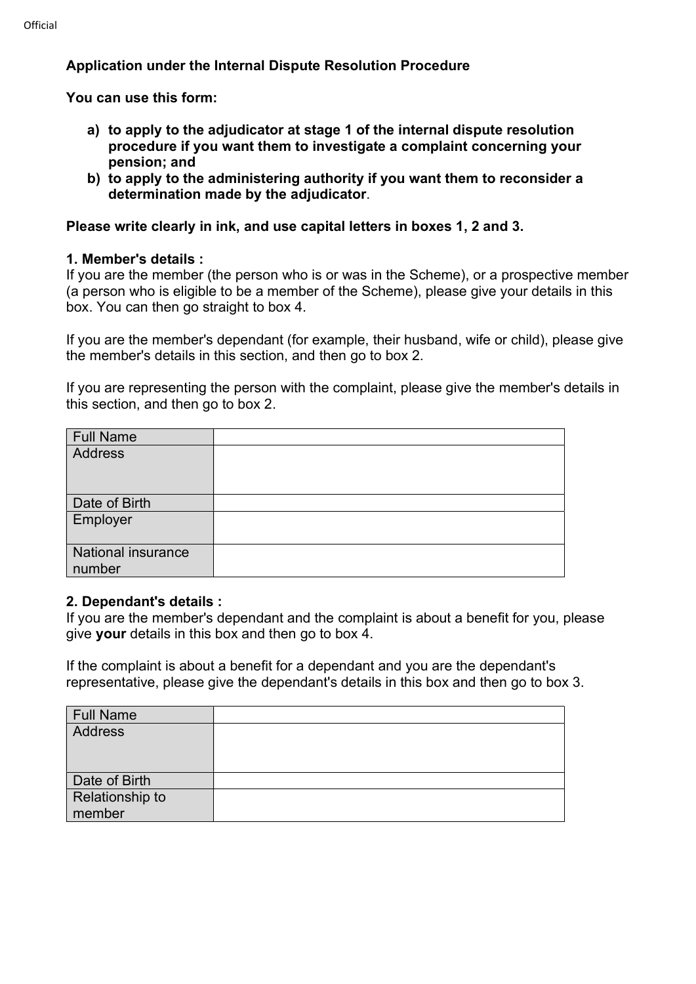## Application under the Internal Dispute Resolution Procedure

You can use this form:

- a) to apply to the adjudicator at stage 1 of the internal dispute resolution procedure if you want them to investigate a complaint concerning your pension; and
- b) to apply to the administering authority if you want them to reconsider a determination made by the adjudicator.

## Please write clearly in ink, and use capital letters in boxes 1, 2 and 3.

#### 1. Member's details :

If you are the member (the person who is or was in the Scheme), or a prospective member (a person who is eligible to be a member of the Scheme), please give your details in this box. You can then go straight to box 4.

If you are the member's dependant (for example, their husband, wife or child), please give the member's details in this section, and then go to box 2.

If you are representing the person with the complaint, please give the member's details in this section, and then go to box 2.

| Full Name                 |  |
|---------------------------|--|
| Address                   |  |
|                           |  |
| Date of Birth             |  |
| Employer                  |  |
| <b>National insurance</b> |  |
| number                    |  |

#### 2. Dependant's details :

If you are the member's dependant and the complaint is about a benefit for you, please give your details in this box and then go to box 4.

If the complaint is about a benefit for a dependant and you are the dependant's representative, please give the dependant's details in this box and then go to box 3.

| Full Name                 |  |
|---------------------------|--|
| Address                   |  |
| Date of Birth             |  |
| Relationship to<br>member |  |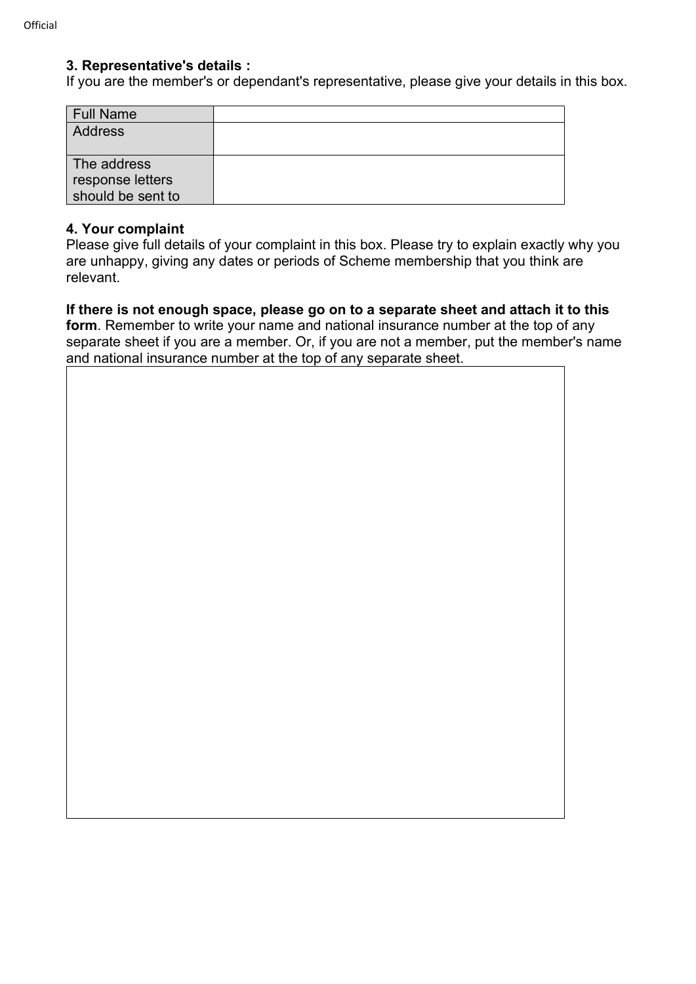#### 3. Representative's details :

If you are the member's or dependant's representative, please give your details in this box.

| <b>Full Name</b>  |  |
|-------------------|--|
| <b>Address</b>    |  |
|                   |  |
| The address       |  |
| response letters  |  |
| should be sent to |  |

#### 4. Your complaint

Please give full details of your complaint in this box. Please try to explain exactly why you are unhappy, giving any dates or periods of Scheme membership that you think are relevant.

If there is not enough space, please go on to a separate sheet and attach it to this form. Remember to write your name and national insurance number at the top of any separate sheet if you are a member. Or, if you are not a member, put the member's name and national insurance number at the top of any separate sheet.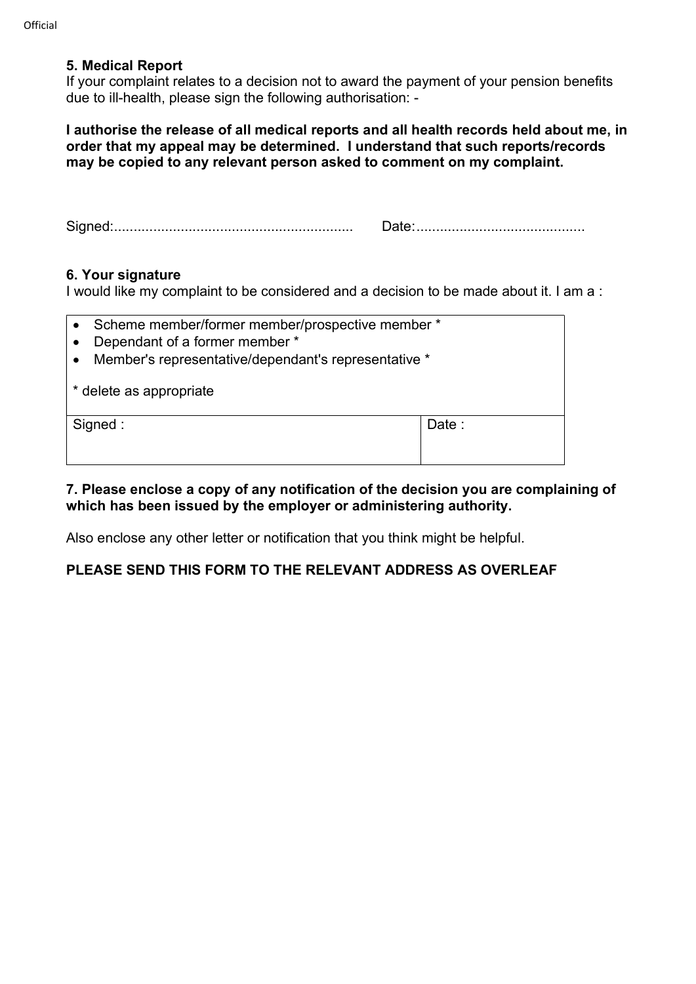#### 5. Medical Report

If your complaint relates to a decision not to award the payment of your pension benefits due to ill-health, please sign the following authorisation: -

I authorise the release of all medical reports and all health records held about me, in order that my appeal may be determined. I understand that such reports/records may be copied to any relevant person asked to comment on my complaint.

Signed: ............................................................. Date: ...........................................

#### 6. Your signature

I would like my complaint to be considered and a decision to be made about it. I am a :

- Scheme member/former member/prospective member \*
- Dependant of a former member \*
- Member's representative/dependant's representative \*

\* delete as appropriate

Signed : New York 1 and 2 and 2 and 2 and 2 and 2 and 2 and 2 and 2 and 2 and 2 and 2 and 2 and 2 and 2 and 2 and 2 and 2 and 2 and 2 and 2 and 2 and 2 and 2 and 2 and 2 and 2 and 2 and 2 and 2 and 2 and 2 and 2 and 2 and

#### 7. Please enclose a copy of any notification of the decision you are complaining of which has been issued by the employer or administering authority.

Also enclose any other letter or notification that you think might be helpful.

## PLEASE SEND THIS FORM TO THE RELEVANT ADDRESS AS OVERLEAF